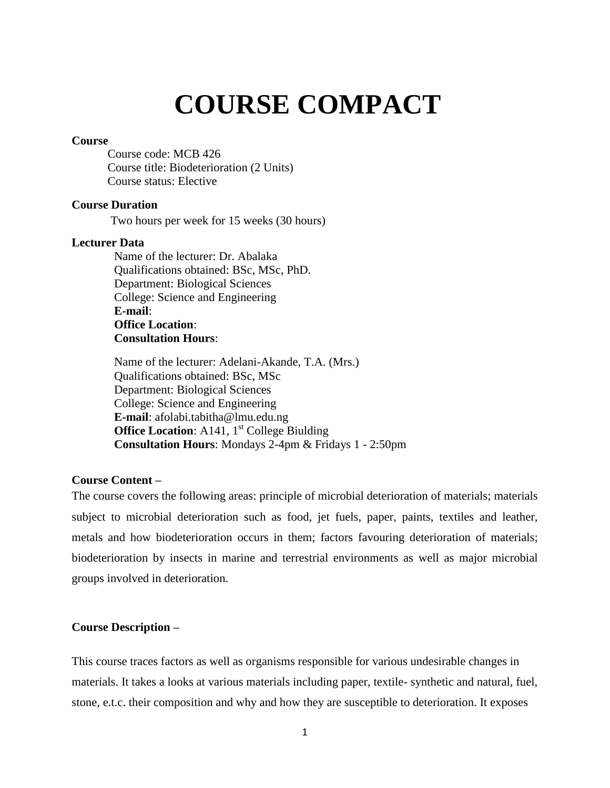# **COURSE COMPACT**

## **Course**

Course code: MCB 426 Course title: Biodeterioration (2 Units) Course status: Elective

# **Course Duration**

Two hours per week for 15 weeks (30 hours)

## **Lecturer Data**

Name of the lecturer: Dr. Abalaka Qualifications obtained: BSc, MSc, PhD. Department: Biological Sciences College: Science and Engineering **E-mail**: **Office Location**: **Consultation Hours**:

Name of the lecturer: Adelani-Akande, T.A. (Mrs.) Qualifications obtained: BSc, MSc Department: Biological Sciences College: Science and Engineering **E-mail**: afolabi.tabitha@lmu.edu.ng **Office Location:** A141, 1<sup>st</sup> College Biulding **Consultation Hours**: Mondays 2-4pm & Fridays 1 - 2:50pm

## **Course Content –**

The course covers the following areas: principle of microbial deterioration of materials; materials subject to microbial deterioration such as food, jet fuels, paper, paints, textiles and leather, metals and how biodeterioration occurs in them; factors favouring deterioration of materials; biodeterioration by insects in marine and terrestrial environments as well as major microbial groups involved in deterioration.

## **Course Description –**

This course traces factors as well as organisms responsible for various undesirable changes in materials. It takes a looks at various materials including paper, textile- synthetic and natural, fuel, stone, e.t.c. their composition and why and how they are susceptible to deterioration. It exposes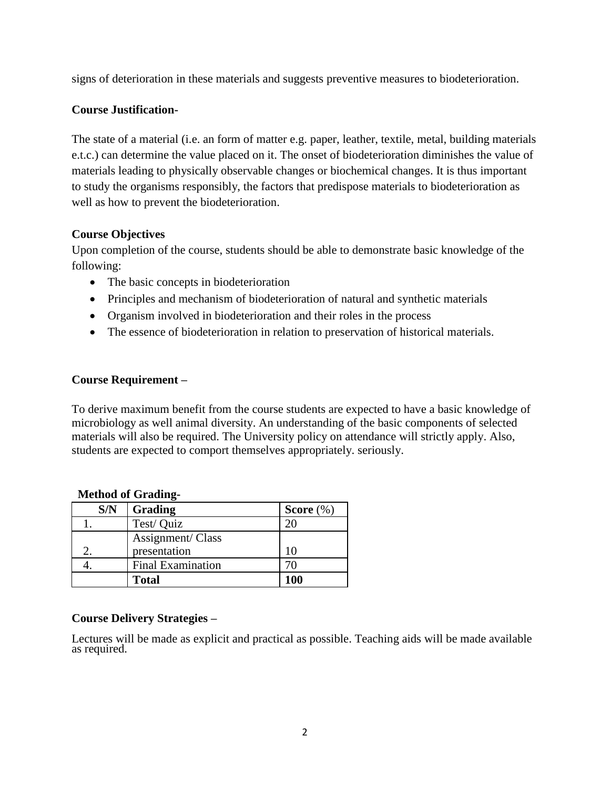signs of deterioration in these materials and suggests preventive measures to biodeterioration.

# **Course Justification-**

The state of a material (i.e. an form of matter e.g. paper, leather, textile, metal, building materials e.t.c.) can determine the value placed on it. The onset of biodeterioration diminishes the value of materials leading to physically observable changes or biochemical changes. It is thus important to study the organisms responsibly, the factors that predispose materials to biodeterioration as well as how to prevent the biodeterioration.

# **Course Objectives**

Upon completion of the course, students should be able to demonstrate basic knowledge of the following:

- The basic concepts in biodeterioration
- Principles and mechanism of biodeterioration of natural and synthetic materials
- Organism involved in biodeterioration and their roles in the process
- The essence of biodeterioration in relation to preservation of historical materials.

# **Course Requirement –**

To derive maximum benefit from the course students are expected to have a basic knowledge of microbiology as well animal diversity. An understanding of the basic components of selected materials will also be required. The University policy on attendance will strictly apply. Also, students are expected to comport themselves appropriately. seriously.

| S/N | Grading                  | Score $(\%)$  |
|-----|--------------------------|---------------|
|     | Test/ Quiz               |               |
|     | Assignment/ Class        |               |
|     | presentation             | 10            |
|     | <b>Final Examination</b> | $\frac{1}{2}$ |
|     | <b>Total</b>             | <b>100</b>    |

# **Method of Grading-**

# **Course Delivery Strategies –**

Lectures will be made as explicit and practical as possible. Teaching aids will be made available as required.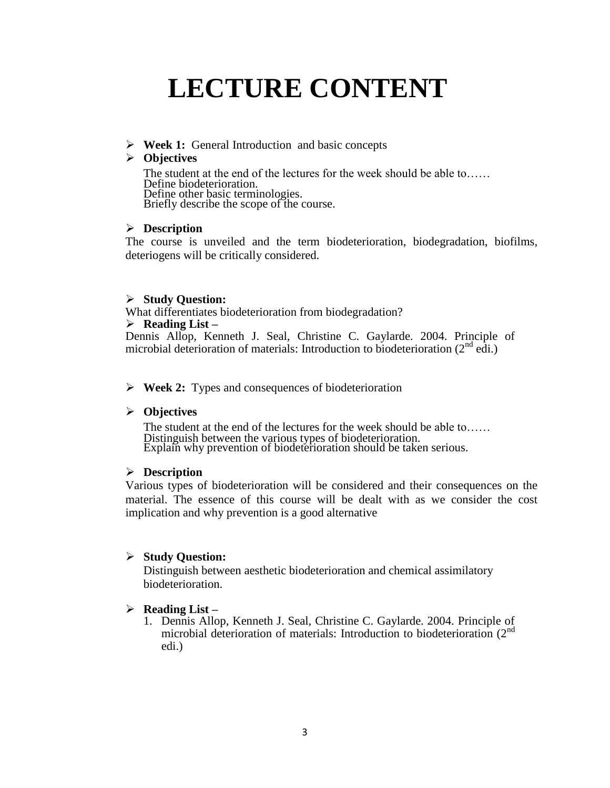# **LECTURE CONTENT**

**Week 1:** General Introduction and basic concepts

# **Objectives**

The student at the end of the lectures for the week should be able to…… Define biodeterioration. Define other basic terminologies. Briefly describe the scope of the course.

# **Description**

The course is unveiled and the term biodeterioration, biodegradation, biofilms, deteriogens will be critically considered.

# **Study Question:**

What differentiates biodeterioration from biodegradation?

## **Reading List –**

Dennis Allop, Kenneth J. Seal, Christine C. Gaylarde. 2004. Principle of microbial deterioration of materials: Introduction to biodeterioration  $(2^{nd}$  edi.)

# **Week 2:** Types and consequences of biodeterioration

# **Objectives**

The student at the end of the lectures for the week should be able to…… Distinguish between the various types of biodeterioration. Explain why prevention of biodeterioration should be taken serious.

# **Description**

Various types of biodeterioration will be considered and their consequences on the material. The essence of this course will be dealt with as we consider the cost implication and why prevention is a good alternative

# **Study Question:**

Distinguish between aesthetic biodeterioration and chemical assimilatory biodeterioration.

# **Reading List –**

1. Dennis Allop, Kenneth J. Seal, Christine C. Gaylarde. 2004. Principle of microbial deterioration of materials: Introduction to biodeterioration  $(2^{nd}$ edi.)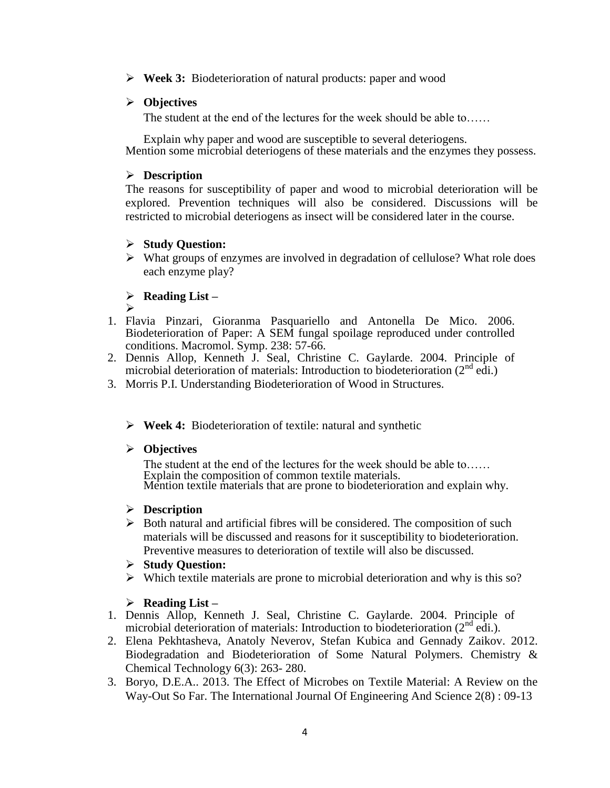**Week 3:** Biodeterioration of natural products: paper and wood

# **Objectives**

The student at the end of the lectures for the week should be able to……

Explain why paper and wood are susceptible to several deteriogens. Mention some microbial deteriogens of these materials and the enzymes they possess.

# **Description**

The reasons for susceptibility of paper and wood to microbial deterioration will be explored. Prevention techniques will also be considered. Discussions will be restricted to microbial deteriogens as insect will be considered later in the course.

# **Study Question:**

 $\triangleright$  What groups of enzymes are involved in degradation of cellulose? What role does each enzyme play?

# **Reading List –**

- $\blacktriangleright$ 1. Flavia Pinzari, Gioranma Pasquariello and Antonella De Mico. 2006. Biodeterioration of Paper: A SEM fungal spoilage reproduced under controlled conditions. Macromol. Symp. 238: 57-66.
- 2. Dennis Allop, Kenneth J. Seal, Christine C. Gaylarde. 2004. Principle of microbial deterioration of materials: Introduction to biodeterioration  $(2^{nd}$  edi.)
- 3. Morris P.I. Understanding Biodeterioration of Wood in Structures.
	- **Week 4:** Biodeterioration of textile: natural and synthetic

# **Objectives**

The student at the end of the lectures for the week should be able to…… Explain the composition of common textile materials. Mention textile materials that are prone to biodeterioration and explain why.

# **Description**

 $\triangleright$  Both natural and artificial fibres will be considered. The composition of such materials will be discussed and reasons for it susceptibility to biodeterioration. Preventive measures to deterioration of textile will also be discussed.

# **Study Question:**

 $\triangleright$  Which textile materials are prone to microbial deterioration and why is this so?

# **Reading List –**

- 1. Dennis Allop, Kenneth J. Seal, Christine C. Gaylarde. 2004. Principle of microbial deterioration of materials: Introduction to biodeterioration (2<sup>nd</sup> edi.).
- 2. Elena Pekhtasheva, Anatoly Neverov, Stefan Kubica and Gennady Zaikov. 2012. Biodegradation and Biodeterioration of Some Natural Polymers. Chemistry & Chemical Technology 6(3): 263- 280.
- 3. Boryo, D.E.A.. 2013. The Effect of Microbes on Textile Material: A Review on the Way-Out So Far. The International Journal Of Engineering And Science 2(8) : 09-13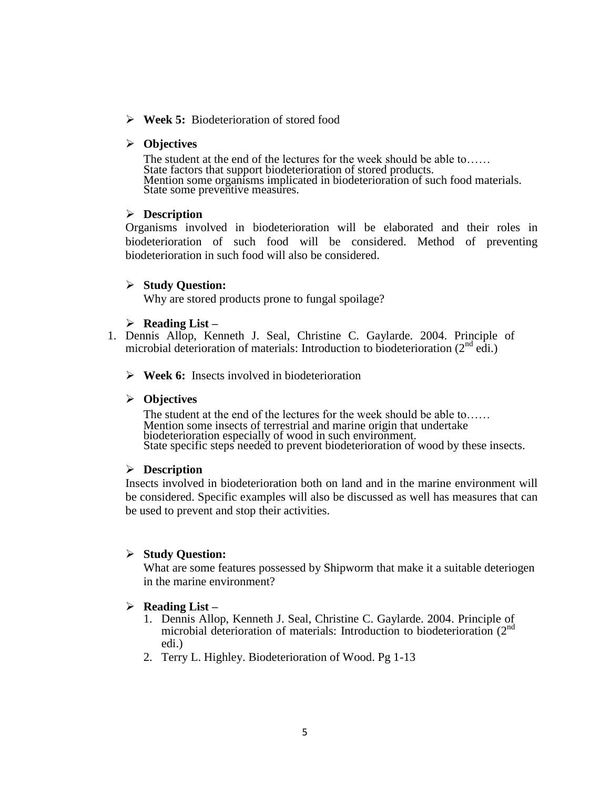**Week 5:** Biodeterioration of stored food

#### **Objectives**

The student at the end of the lectures for the week should be able to…… State factors that support biodeterioration of stored products. Mention some organisms implicated in biodeterioration of such food materials. State some preventive measures.

## **Description**

Organisms involved in biodeterioration will be elaborated and their roles in biodeterioration of such food will be considered. Method of preventing biodeterioration in such food will also be considered.

## **Study Question:**

Why are stored products prone to fungal spoilage?

## **Reading List –**

- 1. Dennis Allop, Kenneth J. Seal, Christine C. Gaylarde. 2004. Principle of microbial deterioration of materials: Introduction to biodeterioration  $(2^{nd}$  edi.)
	- **Week 6:** Insects involved in biodeterioration

#### **Objectives**

The student at the end of the lectures for the week should be able to…… Mention some insects of terrestrial and marine origin that undertake biodeterioration especially of wood in such environment. State specific steps needed to prevent biodeterioration of wood by these insects.

## **Description**

Insects involved in biodeterioration both on land and in the marine environment will be considered. Specific examples will also be discussed as well has measures that can be used to prevent and stop their activities.

#### **Study Question:**

What are some features possessed by Shipworm that make it a suitable deteriogen in the marine environment?

#### **Reading List –**

- 1. Dennis Allop, Kenneth J. Seal, Christine C. Gaylarde. 2004. Principle of microbial deterioration of materials: Introduction to biodeterioration (2<sup>nd</sup>) edi.)
- 2. Terry L. Highley. Biodeterioration of Wood. Pg 1-13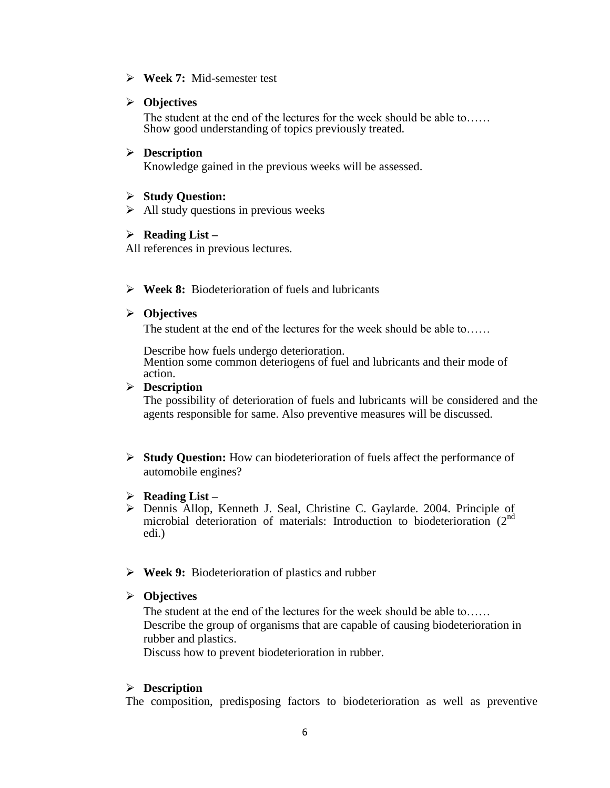**Week 7:** Mid-semester test

# **Objectives**

The student at the end of the lectures for the week should be able to…… Show good understanding of topics previously treated.

# **Description**

Knowledge gained in the previous weeks will be assessed.

# **Study Question:**

 $\triangleright$  All study questions in previous weeks

# **Reading List –**

All references in previous lectures.

**Week 8:** Biodeterioration of fuels and lubricants

# **Objectives**

The student at the end of the lectures for the week should be able to......

Describe how fuels undergo deterioration. Mention some common deteriogens of fuel and lubricants and their mode of action.

# **Description**

The possibility of deterioration of fuels and lubricants will be considered and the agents responsible for same. Also preventive measures will be discussed.

 **Study Question:** How can biodeterioration of fuels affect the performance of automobile engines?

# **Reading List –**

- Dennis Allop, Kenneth J. Seal, Christine C. Gaylarde. 2004. Principle of microbial deterioration of materials: Introduction to biodeterioration (2<sup>nd</sup>) edi.)
- **Week 9:** Biodeterioration of plastics and rubber

# **Objectives**

The student at the end of the lectures for the week should be able to…… Describe the group of organisms that are capable of causing biodeterioration in rubber and plastics.

Discuss how to prevent biodeterioration in rubber.

# **Description**

The composition, predisposing factors to biodeterioration as well as preventive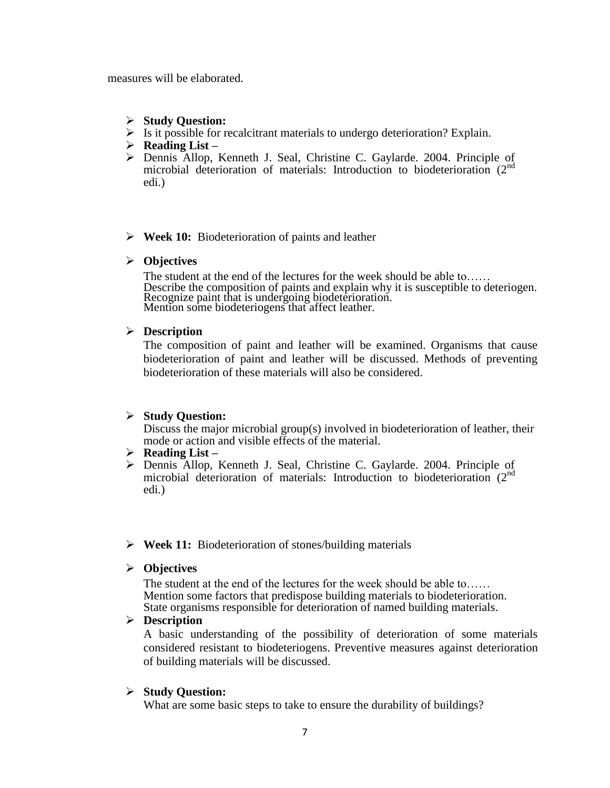measures will be elaborated.

- **Study Question:**
- $\triangleright$  Is it possible for recalcitrant materials to undergo deterioration? Explain.
- **Reading List –**
- Dennis Allop, Kenneth J. Seal, Christine C. Gaylarde. 2004. Principle of microbial deterioration of materials: Introduction to biodeterioration (2<sup>nd</sup>) edi.)
- **Week 10:** Biodeterioration of paints and leather
- **Objectives**

The student at the end of the lectures for the week should be able to…… Describe the composition of paints and explain why it is susceptible to deteriogen. Recognize paint that is undergoing biodeterioration. Mention some biodeteriogens that affect leather.

## **Description**

The composition of paint and leather will be examined. Organisms that cause biodeterioration of paint and leather will be discussed. Methods of preventing biodeterioration of these materials will also be considered.

# **Study Question:**

Discuss the major microbial group(s) involved in biodeterioration of leather, their mode or action and visible effects of the material.

- **Reading List –**
- Dennis Allop, Kenneth J. Seal, Christine C. Gaylarde. 2004. Principle of microbial deterioration of materials: Introduction to biodeterioration (2<sup>nd</sup>) edi.)
- **Week 11:** Biodeterioration of stones/building materials
- **Objectives**

The student at the end of the lectures for the week should be able to…… Mention some factors that predispose building materials to biodeterioration. State organisms responsible for deterioration of named building materials.

## **Description**

A basic understanding of the possibility of deterioration of some materials considered resistant to biodeteriogens. Preventive measures against deterioration of building materials will be discussed.

# **Study Question:**

What are some basic steps to take to ensure the durability of buildings?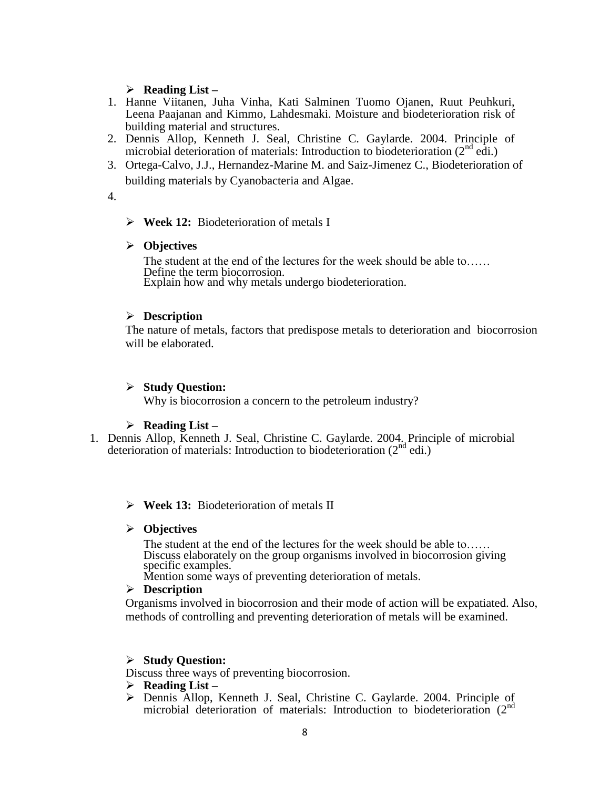## **Reading List –**

- 1. Hanne Viitanen, Juha Vinha, Kati Salminen Tuomo Ojanen, Ruut Peuhkuri, Leena Paajanan and Kimmo, Lahdesmaki. Moisture and biodeterioration risk of building material and structures.
- 2. Dennis Allop, Kenneth J. Seal, Christine C. Gaylarde. 2004. Principle of microbial deterioration of materials: Introduction to biodeterioration  $(2^{nd}$  edi.)
- 3. Ortega-Calvo, J.J., Hernandez-Marine M. and Saiz-Jimenez C., Biodeterioration of building materials by Cyanobacteria and Algae.
- 4.
- **Week 12:** Biodeterioration of metals I

## **Objectives**

The student at the end of the lectures for the week should be able to…… Define the term biocorrosion. Explain how and why metals undergo biodeterioration.

## **Description**

The nature of metals, factors that predispose metals to deterioration and biocorrosion will be elaborated.

## **Study Question:**

Why is biocorrosion a concern to the petroleum industry?

## **Reading List –**

1. Dennis Allop, Kenneth J. Seal, Christine C. Gaylarde. 2004. Principle of microbial deterioration of materials: Introduction to biodeterioration  $(2^{nd}$  edi.)

## **Week 13:** Biodeterioration of metals II

## **Objectives**

The student at the end of the lectures for the week should be able to...... Discuss elaborately on the group organisms involved in biocorrosion giving specific examples.

Mention some ways of preventing deterioration of metals.

## **Description**

Organisms involved in biocorrosion and their mode of action will be expatiated. Also, methods of controlling and preventing deterioration of metals will be examined.

## **Study Question:**

Discuss three ways of preventing biocorrosion.

- **Reading List –**
- Dennis Allop, Kenneth J. Seal, Christine C. Gaylarde. 2004. Principle of microbial deterioration of materials: Introduction to biodeterioration (2<sup>nd</sup>)